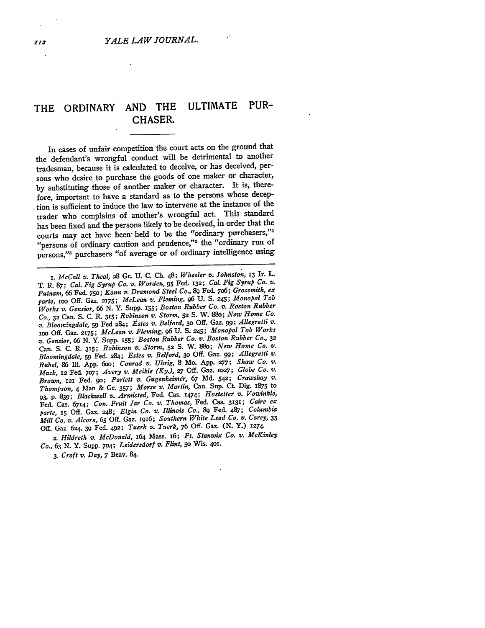## THE ORDINARY **AND** THE ULTIMATE PUR-CHASER.

In cases of unfair competition the court acts on the ground that the defendant's wrongful conduct will be detrimental to another tradesman, because it is calculated to deceive, or has deceived, persons who desire to purchase the goods of one maker or character, by substituting those of another maker or character. It is, therefore, important to have a standard as to the persons whose deception is sufficient to induce the law to intervene at the instance of the trader who complains of another's wrongful act. This standard has been fixed and the persons likely to be deceived, in order that the courts may act have been- held to be the "ordinary purchasers,"' "persons of ordinary caution and prudence,"<sup>2</sup> the "ordinary run of persons,"' purchasers "of average or of ordinary intelligence using

*i. McCall v. Theal,* **28** Gr. **U. C. Ch.** 48; *Wheeler v. Johnston,* **13** Ir. L. T. **R. 87;** *Cal. Fig Syrup Co. v. Worden,* **95** Fed. **132;** *Cal. Fig Syrup Co. v. Putnam,* 66 Fed. **750;** *Kann v. Dramond Steel Co.,* **89** Fed. 7o6; *Grossmith, ex parte,* **ioo Off.** Gaz. **2175;** *McLean v. Fleming,* **96 U. S.** 245; *Monopol Tob Works v. Gensior,* 66 **N.** Y. Supp. **155;** *Boston Rubber Co. v. Roston Rubber Co.,* **32** Can. **S. C. R. 315;** *Robinson v. Storm,* **52 S.** W. 88o; *New Home Co. v. Bloomingdale,* **59** Fed 284; *Estes v. Belford, 30* **Off.** Gaz. **99;** *Allegretti v.* ioo **Off.** Gaz. **2,75;** *McLean v. Fleming,* **96 U. S. 245;** *Monopol Tob Works v. Gensior,* 66 **N.** Y. Supp. **155;** *Boston Rubber Co. v. Boston Rubber Co.,* **<sup>32</sup>** Can. **S. C.** R. **315;** *Robinson v. Storm,* **52 S.** W. 88o; *New Home Co. v. Bloomingdale,* **59** Fed. 284; *Estes v. Belford, 30* Off. Gaz. **99;** *Allegretti v. Rubel, 86* **Il. App.** 6oo; *Conrad v. Uhrig,* **8** Mo. **App. 277;** *Shaw Co. v. Mack,* 12 Fed. **7o7;** *Avery v. Meikle (Ky.), 27* **Off.** Gaz. **io27;** *Globe Co. v.* Brown, 121 Fed. 90; Parlett v. Gugenheimer, 67 Md. 542; Crawshay v. *Thompson,* 4 Man & Gr. 357; *Morse v. Martin,* Can. Sup. Ct Dig. 1875 to 93, **p.** 839; *Blackwell v. Armisted,* Fed. Cas. 1474; *Hostetter v. Vowinkle,* Fed. Cas. 6714; *Con. Fruit Jar Co. v. Thomas,* Fed. Cas. **313;** Caire *ex parte, 15* Off. Gaz. 248; *Elgin Co. v. Illinois Co.,* **89** Fed. 487; *Columbia Mill Co. v. Alcorn,* **65** Off. Gaz. i916; *Southern White Lead Co. v. Carey,* **<sup>33</sup>** Off. Gaz. 624, 39 Fed. 492; *Tuerk v. Tuerk, 76* Off. Gaz. (N. Y.) i74.

2. Hildreth *v. McDonald,* 164 Mass. 16; Ft. Stanwix Co. v. McKinley *Co.,* 63 N. Y. Supp. 704; *Leidersdorf v. Flint,* 5o Wis. 4oi.

*3. Croft v. Day,* 7 Beav. 84.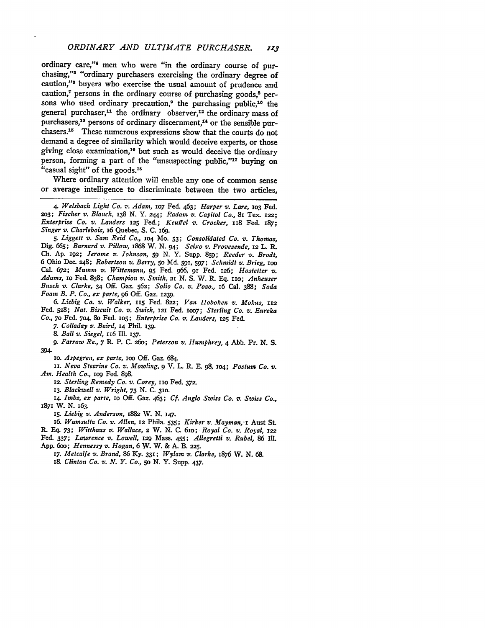ordinary care,"<sup>4</sup> men who were "in the ordinary course of purchasing,"5 "ordinary purchasers exercising the ordinary degree of caution,"<sup>6</sup> buyers who exercise the usual amount of prudence and caution, $\tau$  persons in the ordinary course of purchasing goods. $\delta$  persons who used ordinary precaution,<sup>9</sup> the purchasing public,<sup>10</sup> the general purchaser,<sup>11</sup> the ordinary observer,<sup>12</sup> the ordinary mass of purchasers,<sup>18</sup> persons of ordinary discernment,<sup>14</sup> or the sensible purchasers.<sup>15</sup> These numerous expressions show that the courts do not demand a degree of similarity which would deceive experts, or those giving close examination,<sup>16</sup> but such as would deceive the ordinary person, forming a part of the "unsuspecting public,"<sup>17</sup> buying on "casual sight" of the goods.<sup>18</sup>

Where ordinary attention will enable any one of common sense or average intelligence to discriminate between the two articles,

**5.** *Liggett v. Sam Reid Co.,* **104** Mo. **53;** *Consolidated Co. v. Thomas,* Dig. 665; *Barnard v. Pillow,* I868 W. N. *94; Seixo v. Provezende,* 12 L. R. **Ch.** Ap. 192; *Jerome v. Johnson,* **59** N. Y. Supp. **859;** *Reeder v. Brodt,* 6 Ohio Dec. 248; *Robertson v. Berry,* 5o Md. **591,** 597; *Schmidt v. Brieg,* OO Cal. 672; *Muminm v. Wittemann,* **95** Fed. *966,* 92 Fed. 126; *Hostetter v. Adams,* io Fed. 838; *Champion v. Smith,* 21 **N. S.** W. **R. Eq.** IIO; *Anheuser Busch v. Clarke,* 34 Off. Gaz. 562; *Solio Co. v. Pozo.,* 16 Cal. **388;** *Soda Foam B. P. Co., ex parte,* **96** Off. Gaz. 1239.

*6. Liebig Co. v. Walker,* **115** Fed. 822; *Van Hoboken v. Mokus,* **<sup>112</sup>** Fed. 528; *Nat. Biscuit Co. v. Swick,* 121 Fed. loO7; *Sterling Co. v. Eureka Co.,* **7o** Fed. **704,** 8o Fed. io5; *Enterprise Co. v. Landers,* **125** Fed.

*7. Colladay v. Baird,* **14** Phil. **139.**

*8. Ball v. Siegel,* 116 Ill. 137.

**9.** *Farrow Re., 7* R. P. *C.* 26o; *Peterson v. Humphrey,* 4 Abb. Pr. **N. S.** 394.

**io.** *Aspegren, ex parte,* ioo Off. Gaz. 684.

*ii. Neva Stearine Co.* **v'.** *Mowling,* **9** V. L. R. **E. 98, 2O4;** *Postum Co. v. Am. Health Co.,* **io9** Fed. **898.**

**12.** *Sterling Remedy Co. v. Corey,* iio Fed. *372.*

**13.** *Blackwell v. Wright, 73* **N. C. 310.**

14. *Imbs, ex parte,* io Off. Gaz. 463; *Cf. Anglo Swiss Co. v. Swiss Co.,* **<sup>1871</sup>**W. *N. 163.*

*15. Liebig v. Anderson,* 1882 W. *N.* 147.

16. *Wamsutta Co. v. Allen,* **12** Phila. **535;** *Kirker v. Mayman, x* Aust St. R. Eq. *73; Witthaus v. Wallace,* **2** W. **N. C.** 6io; *-Royal Co. v. Royal,* **122** Fed. 337; *Lawrence v. Lowell, 229* Mass. 455; *Allegretti v. Rubel,* **86** IIl. **App.** 6oo; *Hennessy v. Hogan,* 6 W. W. & *A.* B. **225.**

*17. Metcalfe v. Brand,* **86 Ky. 331;** *Wylam v. Clarke,* 1876 W. **N. 68.**

**I8.** *Clinton Co. v. N. Y. Co.,* 5o **N.** Y. Supp. 437.

*<sup>4.</sup> Welsbach Light Co. v. Adam,* lO7 Fed. 463; *Harper v. Lare,* **2O3** Fed. 2o3; *Fischer v. Blanch,* 138 N. Y. 244; *Radam v. Capitol Co.,* 81 Tex. 122; *Enterprise Co. v. Landers* 125 Fed.; *Keuffel v. Crocker,* **1I8** Fed. z87; *Singer v. Charlebois,* 16 Quebec, S. C. 169.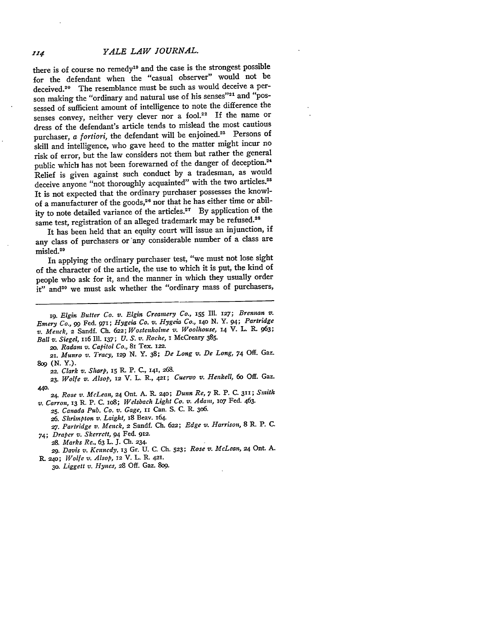*YALE LAW JOURNAL.*

there is of course no remedy<sup>19</sup> and the case is the strongest possible for the defendant when the "casual observer" would not be deceived.<sup>20</sup> The resemblance must be such as would deceive a person making the "ordinary and natural use of his senses"<sup>21</sup> and "possessed of sufficient amount of intelligence to note the difference the senses convey, neither very clever nor a fool.<sup>22</sup> If the name or dress of the defendant's article tends to mislead the most cautious purchaser, *a fortiori*, the defendant will be enjoined.<sup>23</sup> Persons of skill and intelligence, who gave heed to the matter might incur no risk of error, but the law considers not them but rather the general public which has not been forewarned of the danger of deception.<sup>24</sup> Relief is given against such conduct by a tradesman, as would deceive anyone "not thoroughly acquainted" with the two articles.<sup>25</sup> It is not expected that the ordinary purchaser possesses the knowlof a manufacturer of the goods,<sup>26</sup> nor that he has either time or ability to note detailed variance of the articles.<sup>27</sup> By application of the same test, registration of an alleged trademark may be refused.<sup>28</sup>

It has been held that an equity court will issue an injunction, if any class of purchasers or any considerable number of a class are misled.<sup>28</sup>

In applying the ordinary purchaser test, "we must not lose sight of the character of the article, the use to which it is put, the kind of people who ask for it, and the manner in which they usually order it" and<sup>30</sup> we must ask whether the "ordinary mass of purchasers,

1g. *Elgin Butter Co. v. Elgin Creamery Co.,* **<sup>155</sup>**Ill. **127;** Brennan *v. Emery Co.,* **99** Fed. 971; *Hygeia Co. v. Hygeia Co.,* **14o N. Y. 94;** *Partridge v. Menck,* 2 Sandf. **Ch. 622;** *Wostenholme v. Woolhouse,* 14 V. L. **R.** 963; *Ball v. Siegel,* 116 Ill. 137; *U. S. v. Roche,* i McCreary 385.

2o. *Radam v. Capitol Co.,* 81 Tex. 122.

**21.** *Munro v. Tracy, 129* **N.** Y. 38; *De Long v. De Long, 74* Off. Gaz. **809** (N. Y.).

*22. Clark v. Sharp,* **15 R.** P. C., 141, 268.

*23. Wolfe v. Alsop,* 12 V. L. R., 421; *Cuervo v. Henkell, 6o* Off. Gaz. **440.**

24. *Rose v. McLean,* 24 Ont. **A. R.** 24o; *Dunn Re,* 7 R. P. **C.** 311; *Smith v. Carron,* 13 R. P. C. io8; *Welsbach Light Co. v. Adam,* lo7 Fed. 463.

*25. Canada Pub. Co. v. Gage,* 1i Can. S. C. R. 306.

*26. Shrimpton v. Laight,* 18 Beav. 164.

**27.** *Partridge v. Menck, 2* Sandf. Ch. 622; *Edge v. Harrison,* 8 P, P. C.

*74; Draper v. Skcrrett,* 94 Fed. **922.**

*28. Marks Re.,* 63 L. J. Ch. 234.

*29. Davis v. Kcnnedy,* 13 Gr. U. C. Ch. **523;** *Rose v. McLean,* 24 Ont. **A.**

R. 24o; *Wolfe v. Alsop, 12* V. L. R. **421.**

**3o.** *Liggett v. Hynes, 28* Off. Gaz. 8og.

114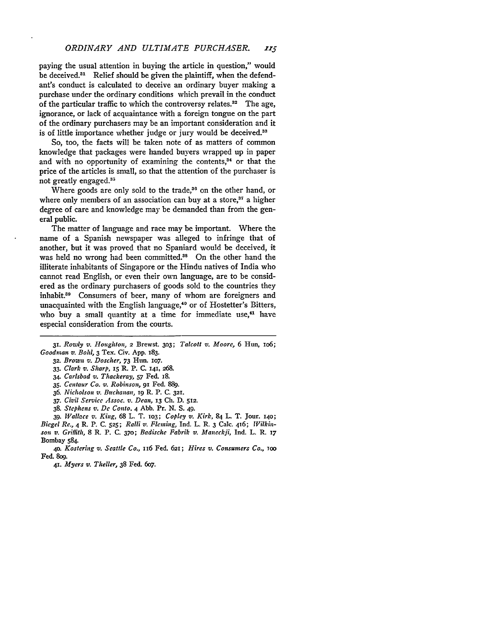paying the usual attention in buying the article in question," would be deceived. $31$  Relief should be given the plaintiff, when the defendant's conduct is calculated to deceive an ordinary buyer making a purchase under the ordinary conditions which prevail in the conduct of the particular traffic to which the controversy relates.<sup>32</sup> The age, ignorance, or lack of acquaintance with a foreign tongue on the part of the ordinary purchasers may be an important consideration and it is of little importance whether judge or jury would be deceived.<sup>33</sup>

So, too, the facts will be taken note of as matters of common knowledge that packages were handed buyers wrapped up in paper and with no opportunity of examining the contents, $34$  or that the price of the articles is small, so that the attention of the purchaser is not greatly engaged.<sup>35</sup>

Where goods are only sold to the trade,<sup>36</sup> on the other hand, or where only members of an association can buy at a store,<sup>37</sup> a higher degree of care and knowledge may be demanded than from the general public.

The matter of language and race may be important. Where the name of a Spanish newspaper was alleged to infringe that of another, but it was proved that no Spaniard would be deceived, it was held no wrong had been committed.<sup>38</sup> On the other hand the illiterate inhabitants of Singapore or the Hindu natives of India who cannot read English, or even their own language, are to be considered as the ordinary purchasers of goods sold to the countries they inhabit.<sup>30</sup> Consumers of beer, many of whom are foreigners and unacquainted with the English language,<sup>40</sup> or of Hostetter's Bitters, who buy a small quantity at a time for immediate use, $41$  have especial consideration from the courts.

- *33. Clark v. Sharp,* **15** R. P. C. **i4i,** 268.
- 34. *Carlsbad v. Thackeray,* **57** Fed. 18.
- 35. *Centaur Co. v. Robinson,* **91** Fed. **889.**
- 36. *Nicholson v. Buchanan,* **ig** R. P. *C.* 32i.
- *37. Civil Servicc Assoc.* v. *Dean,* **13 Ch.** D. 512.
- 38. *Stephens v.* **De** *Conto.* 4 Abb. Pr. N. S. 49.
- *39. Wallace v. King,* 68 L. T. io3; *Copley v. Kirk,* 84 L. T. Jour. i4o; *Biegel Re.,* 4 R. P. C. **525;** *Ralli v. Fleming,* Ind. L. R. 3 Calc. 416; *Wilkinson v.* Griffith, 8 R. P. C. **370;** *Badischc Fabrik v. Maneckfi,* Ind. L. R. **i7** Bombay 584.

**4o.** *Kostering v. Seattle Co.,* 116 Fed. 621; *Hires v. Consumers Co., TOO* Fed. 8og.

*41. Myers v. Theller,* 38 Fed. 6o7.

*<sup>31.</sup> Rowly v. Houghton, 2* Brewst. **303;** *Talcott v. Moore,* 6 Hun, io6; *Goodman v. Bol,* **3** Tex. Civ. App. 183.

**<sup>32.</sup>** *Brown v. Doscher,* 73 Hun. io7.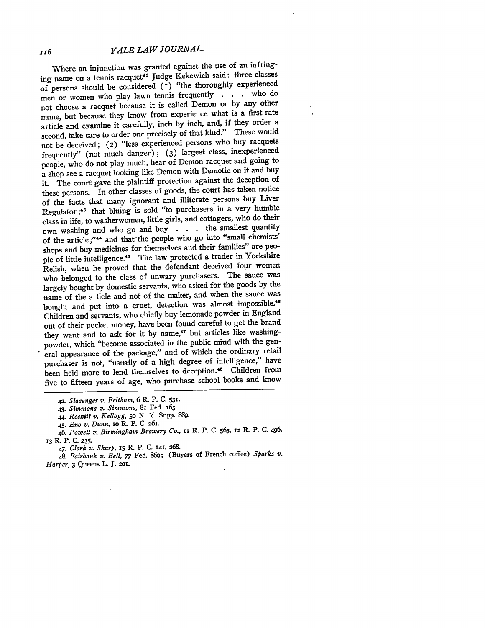**jz6** *YALE LAW JOURNAL.*

Where an injunction was granted against the use of an infringing name on a tennis racquet<sup>42</sup> Judge Kekewich said: three classes of persons should be considered  $(i)$  "the thoroughly experienced men or women who play lawn tennis frequently **.** who do not choose a racquet because it is called Demon or **by** any other name, but because they know from experience what is a first-rate article and examine it carefully, inch **by** inch, and, if they order a second, take care to order one precisely of that kind." These would not be deceived; **(2)** "less experienced persons who buy racquets frequently" (not much danger); **(3)** largest class, inexperienced people, who do not play much, hear of Demon racquet and going to a shop see a racquet looking like Demon with Demotic on it and buy it. The court gave the plaintiff protection against the deception of these persons. In other classes of goods, the court has taken notice of the facts that many ignorant and illiterate persons buy Liver Regulator **;43** that bluing is sold "to purchasers in a very humble class in life, to washerwomen, little girls, and cottagers, who do their own washing and who go and buy **. .** the smallest quantity of the article;"44 and that'the people who go into "small chemists' shops and buy medicines for themselves and their families" are people of little intelligence.<sup>45</sup> The law protected a trader in Yorkshire Relish, when he proved that the defendant deceived four women who belonged to the class of unwary purchasers. The sauce was largely bought **by** domestic servants, who asked for the goods **by** the name of the article and not of the maker, and when the sauce was bought and put into, a cruet, detection was almost impossible.<sup>46</sup> Children and servants, who chiefly buy lemonade powder in England out of their pocket money, have been found careful to get the brand they want and to ask for it by name,<sup>47</sup> but articles like washingpowder, which "become associated in the public mind with the general appearance of the package," and of which the ordinary retail purchaser is not, "usually of a high degree of intelligence," have been held more to lend themselves to deception.<sup>48</sup> Children from five to fifteen years of age, who purchase school books and know

48. *Fairbank v. Bell, 77* Fed. 869; (Buyers of French coffee) *Sparks v. Harper,* 3 Queens L. J. 2oi.

**<sup>42.</sup>** *Slazenger v. Feltham, 6* R. P. **C. 531.**

*<sup>43.</sup> Simmons v. Simmons,* 81 Fed. 163.

<sup>44.</sup> *Reckitt v. Kellogg,* 5o N. Y. Supp. 889.

<sup>45.</sup> *Eno v.* Dunn, Io R. P. C. 2651.

<sup>46.</sup> *Powell '. Birmingham Brewery Co.,* **ii** R. P. C. 563, 12 R. P. C. 496, **13 R** P. **C. 235.**

*<sup>47.</sup> Clark v. Sharp,* **iS** R P. **C. 141, 268.**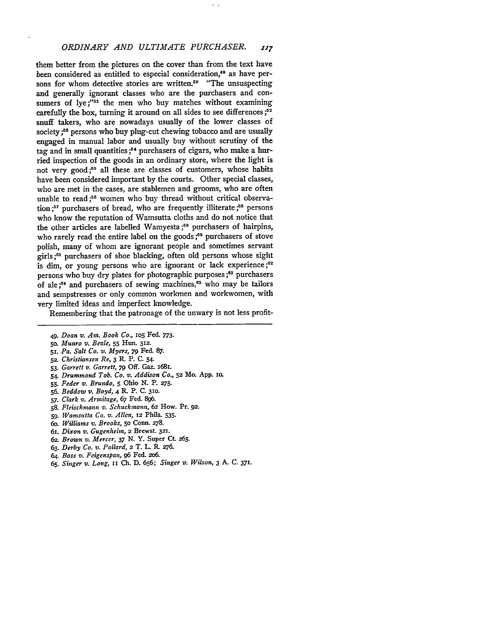## **ORDINARY AND ULTIMATE PURCHASER. 117**

them better from the pictures on the cover than from the text have been considered as entitled to especial consideration,<sup>49</sup> as have persons for whom detective stories are written.<sup>50</sup> "The unsuspecting and generally ignorant classes who are the purchasers and consumers of  $lye$ ;"<sup>51</sup> the men who buy matches without examining carefully the box, turning it around on all sides to see differences **;52** snuff takers, who are nowadays usually of the lower classes of society **;5S** persons who buy plug-cut chewing tobacco and are usually engaged in manual labor and usually buy without scrutiny of the tag and in small quantities **;54** purchasers of cigars, who make a hurried inspection of the goods in an ordinary store, where the light is not very good;<sup>55</sup> all these are classes of customers, whose habits have been considered important by the courts. Other special classes, who are met in the cases, are stablemen and grooms, who are often unable to read;<sup>56</sup> women who buy thread without critical observation **;5T7** purchasers of bread, who are frequently illiterate **;58** persons who know the reputation of Wamsutta cloths and do not notice that the other articles are labelled Wamyesta;<sup>59</sup> purchasers of hairpins, who rarely read the entire label on the goods;<sup>60</sup> purchasers of stove polish, many of whom are ignorant people and sometimes servant girls **;61** purchasers of shoe blacking, often old persons whose sight is dim, or young persons who are ignorant or lack experience **;62** persons who buy dry plates for photographic purposes **;63** purchasers of ale:<sup>64</sup> and purchasers of sewing machines,<sup>65</sup> who may be tailors and sempstresses or only common workmen and workwomen, with very limited ideas and imperfect knowledge.

Remembering that the patronage of the unwary is not less profit-

- **5o.** *Munro v. Beale,* **55** Hun. **32.**
- **51.** *Pa. Salt Co. v. Myers,* 79 Fed. **87.**
- *52. Christiansen Re,* **3** R- P. **C.** 54.
- **53.** *Garrett v. Garrett,* **79** Off. Gaz. i681.
- *54. Drummond Tob. Co. v. Addison Co.,* **52** Mo. **App.** io.
- *55. Feder v. Brundo, 5* Ohio **N.** P. **275.**
- **56.** *Beddow v. Boyd,* **4** P, P. **C. 310.**
- *57. Clark v. Armitage, 67* Fed. **896.**
- **58.** *Fleischmann v. Schuckmann, 62* How. Pr. **92.**
- *59. Wamsutta Co. v. Allen,* **12** Phila. **535.**
- *6o. Williams v. Brooks,* **50** Conn. **278.**
- 61. *Dixon v. Gugenhein,* **2** Brewst. 321.
- *62. Brown v. Mercer, 37* **N.** Y. Super **Ct. 265.**
- *63. Derby Co. v. Pollard,* 2 T. L. R. *276.*
- *64. Bass v. Feigenspan,* **96** Fed. **2o6.**
- **65.** *Singer v. Long,* ii **Ch. D. 656;** *Singer v. Wilson,* 3 **A. C. 371.**

*<sup>49.</sup> Doan v. Am. Book Co.,* **io5** Fed. 773.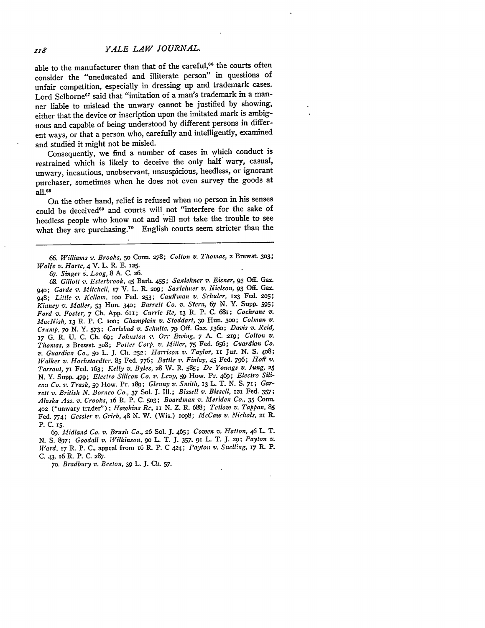## *YALE LAW JOURNAL.*

able to the manufacturer than that of the careful,<sup>66</sup> the courts often consider the "uneducated and illiterate person" in questions of unfair competition, especially in dressing up and trademark cases. Lord Selborne<sup>67</sup> said that "imitation of a man's trademark in a manner liable to mislead the unwary cannot be justified by showing, either that the device or inscription upon the imitated mark is ambiguous and capable of being understood by different persons in different ways, or that a person who, carefully and intelligently, examined and studied it might not be misled.

Consequently, we find a number of cases in which conduct is restrained which is likely to deceive the only half wary, casual, unwary, incautious, unobservant, unsuspicious, heedless, or ignorant purchaser, sometimes when he does not even survey the goods at all.68

On the other hand, relief is refused when no person in his senses could be deceived<sup>69</sup> and courts will not "interfere for the sake of heedless people who know not and will not take the trouble to see what they are purchasing." English courts seem stricter than the

*66. Williams v. Brooks,* **5o** Conn. *278; Colton v. Thomas,* **2** Brewst. **303;** *Wolfe v. Harte,* 4 V. L. **R E. 125.**

*67. Singer v. Loog,* **8 A.** *C. \_6.*

*68. Gillott v. Esterbrook,* 45 Barb. 455; *Saxlehner v. Eisner, 93* **Off.** Gaz. *94o; Garde v. Mitchell, i7* V. L. R. **209;** *Saxlehier v. Nielson, 93* **Off.** Gaz. 948; *Little v. Kellant.* ioo Fed. **253;** *Cauffman v. Schuler,* **123** Fed. **205;** *Kinney v. Maller,* **53** Hun. **340;** *Barrett Co. v. Stern, 67* **N.** Y. Supp. **595;** *Ford v. Foster, 7* **Ch. App.** 6ri; *Currie Re,* **13 R.** P. **C.** 681; *Cochrane v. MacNish,* **13** R. P. **C.** Ioo; *Champlain v. Stoddart,* **3o** Hun. **300;** *Colman v. Crump, 7o* **N. Y. 573;** *Carlsbad v. Schultz. 79* **Off.** Gaz. **.36o;** *Davis v. Reid,* **17 G.** R. **U. C. Ch. 69;** Johnston *,. Orr Ewing. 7* **A. C. 219;** *Colton v. Thomas,* **2** Brewst. **308;** *Potter Corp. v. Miller, 75* Fed. **656;** *Guardian Co. v. Guardian Co.,* **5o** L. **J. Ch. 252;** *Harrison v. Taylor, il* Jur. **N. S. 408;** *Walker v. Hochstaedter.* **85** Fed. *776; Battle v. Finlay,* 45 Fed. **796;** *Hoff v. Tarrant, 71* Fed. 163; *Kelly v. Byles,* **28** W. R. **585;** *De Youngs v. Jung, 25* **N.** Y. Supp. 479; *Electro Silicon Co. v. Levy,* **59** How. Pr. 469; *Electro Silicon Co. v. Trask,* **59** How. Pr. i89; *Glenny v. Smith,* **13** L. T. *N.* **S. 71;** *Garrett v. British N. Borneo Co., 37* **Sol. J.** *Ill.; Bissell v. Bissell,* **121** Fed. **357;** *Alaska Ass. v. Crooks,* 16 R. P. **C. 503;** *Boardmnan v. Meriden Co.,* **35** Conn. **<sup>402</sup>**("unwary trader"); *Hawkins Re, ii* **N.** Z. R. **688;** *Tetlow v. Tappan, 85* Fed. *774; Gessler v. Grieb,* 48 **N.** W. (Wis.) **IO98;** *McCaw v. Nichols, 21* R. **P. C. 15.**

*69. Midland Co. v. Brush Co.,* **26 Sol.** J. 465; *Cowen v. Hatton,* 46 L. T. *N. S. 897; Goodall v. Wilkinson. 90 L. T. J. 357, 91 L. T. J. 20; Payton v. Ward. 17* R. P. **C.,** appeal from 16 R. P. C 4z4; *Payton v. Sncl!'rig, 17* R\_ P. C. 43, *i6* R. P. C. 287.

*70. Bradbury z?. Beeton,* 39 L. J. **Ch.** *57.*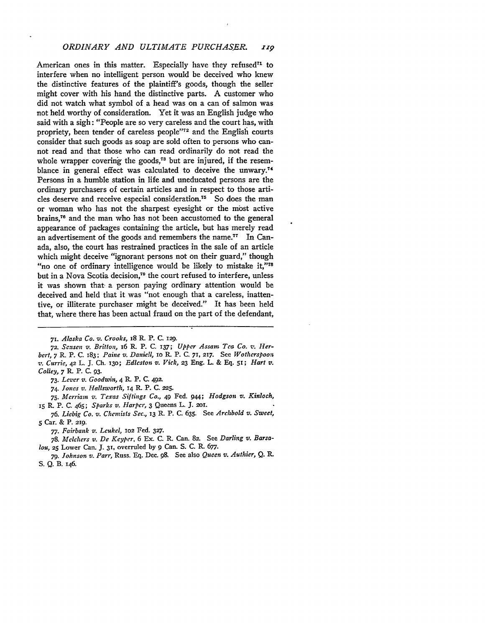## **ORDINARY AND ULTIMATE PURCHASER. 110**

American ones in this matter. Especially have they refused<sup> $71$ </sup> to interfere when no intelligent person would be deceived who knew the distinctive features of the plaintiff's goods, though the seller might cover with his hand the distinctive parts. A customer who did not watch what symbol of a head was on a can of salmon was not held worthy of consideration. Yet it was an English judge who said with a sigh: "People are so very careless and the court has, with propriety, been tender of careless people"<sup>72</sup> and the English courts consider that such goods as soap are sold often to persons who cannot read and that those who can read ordinarily do not read the whole wrapper covering the goods, $73$  but are injured, if the resemblance in general effect was calculated to deceive the unwary.<sup>74</sup> Persons in a humble station in life and uneducated persons are the ordinary purchasers of certain articles and in respect to those articles deserve and receive especial consideration.<sup>75</sup> So does the man or woman who has not the sharpest eyesight or the most active brains,76 and the man who has not been accustomed to the general appearance of packages containing the article, but has merely read an advertisement of the goods and remembers the name.<sup> $77$ </sup> In Canada, also, the court has restrained practices in the sale of an article which might deceive "ignorant persons not on their guard," though "no one of ordinary intelligence would be likely to mistake **it,"78** but in a Nova Scotia decision,79 the court refused to interfere, unless it was shown that- a person paying ordinary attention would be deceived and held that it was "not enough that a careless, inattentive, or illiterate purchaser might be deceived." It has been held that, where there has been actual fraud on the part of the defendant,

*71. Alaska Co. v. Crooks,* 18 *R.* P. **C.** *129.*

*72. Sc:sen v. Britton,* 16 **R.** P. **C.** 137; *Upper Assam Tea Co.* **,.** *Herbert, 7* R. P. **C.** 183; *Paine v. Daniell, 10* **R.** P. **C. 71,** *217.* See *Wotherspoo:l v. Currie,* **42** L. **J. Ch. 13o;** *Edleston; v. Vick,* **23** Eng. L. & **Eq.** 51; *Hart* **v.** *Colley,* 7 R. P. **C. 93.**

*73. Lever v. Goodwin,* 4 R. P. **C. 492.**

*74. Jones* **v.** *Halls'worth, 14* R. P. **C. 225.**

*75. Merriam v. Texas Siftings Co.,* 49 Fed. 944; *Hodgson v. Kinloch,* **<sup>15</sup>**R. P. **C.** 465; *Sparks* **v.** *Harpcr,* **3** Queens L. **J.** 2Ol.

*76. Liebig Co. v. Chemists Sec.,* **13** R. P. **C. 635.** See *Archbold v. Sweet,* **5** Car. & P. 219.

*77. Fairbank v. Leukel,* **102** Fed. **327.**

*78. Melchers v. De Keyper,* 6 Ex. C. R. Can. **82.** See *Darling v. Barsalou,* 25 Lower Can. **J. 31,** overruled by **9** Can. S. C. R. *677.*

*79. Johnson v. Parr,* Russ. Eq. Dec. **98.** See also *Queen v. Authier, Q. R.* S. Q. B. 146.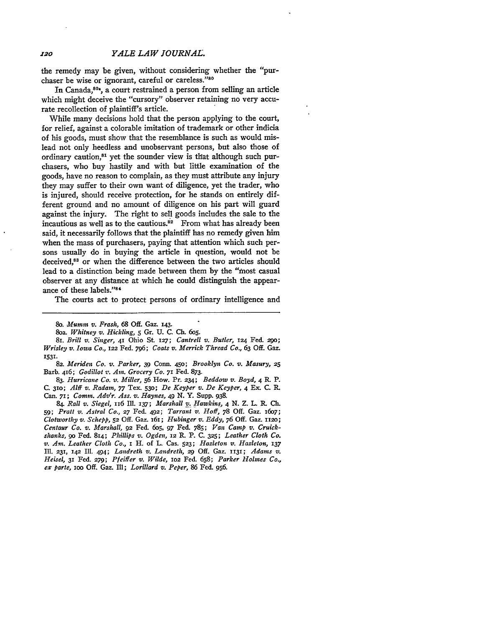the remedy may be given, without considering whether the "purchaser be wise or ignorant, careful or careless."80

In Canada,<sup>804</sup>, a court restrained a person from selling an article which might deceive the "cursory" observer retaining no very accurate recollection of plaintiff's article.

While many decisions hold that the person applying to the court, for relief, against a colorable imitation of trademark or other indicia of his goods, must show that the resemblance is such as would mislead not only heedless and unobservant persons, but also those of ordinary caution,<sup>81</sup> yet the sounder view is that although such purchasers, who buy hastily and with but little examination of the goods, have no reason to complain, as they must attribute any injury they may suffer to their own want of diligence, yet the trader, who is injured, should receive protection, for he stands on entirely different ground and no amount of diligence on his part will guard against the injury. The right to sell goods includes the sale to the incautious as well as to the cautious. $82$  From what has already been said, it necessarily follows that the plaintiff has no remedy given him when the mass of purchasers, paying that attention which such persons usually do in buying the article in question, would not be deceived.<sup>83</sup> or when the difference between the two articles should lead to a distinction being made between them **by** the "most casual observer at any distance at which he could distinguish the appearance of these labels."84

The courts act to protect persons of ordinary intelligence and

**83.** *Hurricane Co. v. Miller,* **56** How. Pr. **234;** *Beddow v. Boyd,* 4 R. P. C. **31o;** *Alif v. Radam, 77* Tex. **530;** *De Keyper v. De Keyper, 4* **Ex. C.** R. Can. *71; Comm. Adv'r. Ass. v. Haynes, 49* **N.** Y. Supp. **938.**

84. *Rall v. Siegel,* 116 II. **137;** *Marshall v. Hawkins, 4* **N.** Z. L. R. *Ch. 59; Pratt v. Astral Co.,* **27 Fed. 492;** *Tarrant v. Hoff,* **78** Off. Gaz. 16o7; *Clotworthy v. Schepp, 52* Off. Gaz. 161; *Hubinger v. Eddy, 76* Off. Gaz. ii2o; *Centaur Co. v. Marshall,* 92 Fed. 6o5, *97* Fed. **785;** *Van Camp v. Cruickshanks,* go Fed. 814; *Phillips v. Ogden, 12* R. P. **C. 325;** *Leather Cloth Co. v. Am. Leather Cloth Co.,* i H. of L. Cas. **523;** *Hazleton v. Hazleton, <sup>137</sup>* Ill. 231, *142* Ill. 494; *Landreth v. Landreth, 29* Off. Gaz. 1131; *Adams v. Heisel,* 31 Fed. *279; Pfeiffer v. Wilde,* **202** Fed. 658; *Parker Holmes Co., ex parte,* ioo Off. Gaz. Ill; *Lorillard v. Peper,* 86 Fed. 956.

<sup>8</sup>o. *Mumm v. Frash, 68* **Off.** Gaz. **143.**

<sup>8</sup>oa. *Whitney v. Hickling,* 5 Gr. **U. C. CI. 6o5.**

*<sup>81.</sup> Brill v. Singer,* 41 Ohio St 127; *Cantrell v. Butler, 124* Fed. 290; *Wrisley v. Iowa Co.,* **122** Fed. 796; *Coats v. Merrick Thread Co., 63* **Off.** Gaz. 1531.

*<sup>82.</sup> Meriden Co. v. Parker,* **39** Conn. **45o;** *Brooklyn Co. v. Masury, 25* Barb. 416; *Godillot v. Am. Grocery Co. 71* Fed. **873.**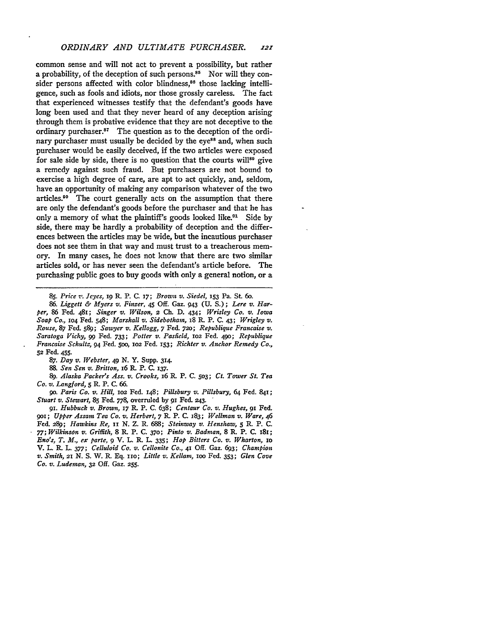common sense and will not act to prevent a possibility, but rather a probability, of the deception of such persons.<sup>85</sup> Nor will they consider persons affected with color blindness,<sup>88</sup> those lacking intelligence, such as fools and idiots, nor those grossly careless. The fact that experienced witnesses testify that the defendant's goods have long been used and that they never heard of any deception arising through them is probative evidence that they are not deceptive to the ordinary purchaser. $87$  The question as to the deception of the ordinary purchaser must usually be decided by the eye<sup>88</sup> and, when such purchaser would be easily deceived, if the two articles were exposed for sale side by side, there is no question that the courts will89 give a remedy against such fraud. But purchasers are not bound to exercise a high degree of care, are apt to act quickly, and, seldom, have an opportunity of making any comparison whatever of the two articles.90 The court generally acts on the assumption that there are only the defendant's goods before the purchaser and that he has only a memory of what the plaintiff's goods looked like.<sup>91</sup> Side by side, there may be hardly a probability of deception and the differences between the articles may be wide, but the incautious purchaser does not see them in that way and must trust to a treacherous memory. In many cases, he does not know that there are two similar articles sold, or has never seen the defendant's article before. The purchasing public goes to buy goods with only a general notion, or a

*85. Price v. Jcyes, i9* P. P. C. '7; *Brown v. Siedel,* **153 Pa.** St 6o.

*86. Liggett & Myers v. Finger,* 45 Off. Gaz. 943 (U. S.); *Lere v. Harper,* 86 Fed. 481; *Singer v. Wilson,* 2 **Ch. D.** 434; *Wrisley Co. v. Iowa Soap Co.,* **104** Fed. 548; *Marshall v. Sidebotham,* i8 R. P. C. 43; *Wrigley v. Rouse,* 87 Fed. **589;** *Sawyer v. Kellogg, 7* Fed. **72o;** *Republique Francaise v. Saratoga Vichy, 99* **Fed. 733;** *Potter v. Pasfield,* **io2** Fed. **490;** *Republique Francaise SchultZ,* 94 Fed. Soo, **iO2** Fed. **153;** *Richter v. Anchor Remedy Co.,* **52** Fed. 455.

*87. Day v. Webster,* 49 N. Y. Supp. 314.

*88. Sen Sen v. Britton, i6* R. P. *C.* **137.**

*89. Alaska Packer's Ass. v. Crooks,* **I6 R.** P. **C. 503;** *Ct. Tower St. Tea Co. v. Langford, 5* P. P. **C. 66.**

*go. Paris Co. v. Hill, 1o2* Fed. 148; *Pillsbury v. Pillsbury,* 64 Fed. 841; *Stuart v. Stewart,* **85** Fed. 778, overruled **by** *9i* Fed. 243.

*91. Hubbuck v. Brown, 17* R. P. C. 638; *Centaur Co. v. Hughes,* **91** Fed. *9oi; Upper Assam Tea Co. v. Herbert, 7* **L** P. C. 183; *Wellman v. Ware,* 46 Fed. **289;** *Hawkins Re, ii* N. Z. *R.* 688; *Steinway v. Henshaw, 5 1t.* P. **C.** *77; Wilkinson v. Griffith,* 8 R. P. C. **370;** *Pinto v. Badman,* 8 P. P. C. 181; *Eno's, T. M., ex parte, 9* V. L. R. L. **335;** *Hop Bitters Co. v. Wharton, io* V. L. *R.* L. *377; Celluloid Co. v. Cellonite Co., 41* Off. Gaz. 693; *Champion v. Smith, 21* N. S. W. R. **Eq.** *iro; Little v. Kellam, ioo* Fed. **353;** *Glen Cove Co. v. Ludeman,* **32** Off. Gaz. **255.**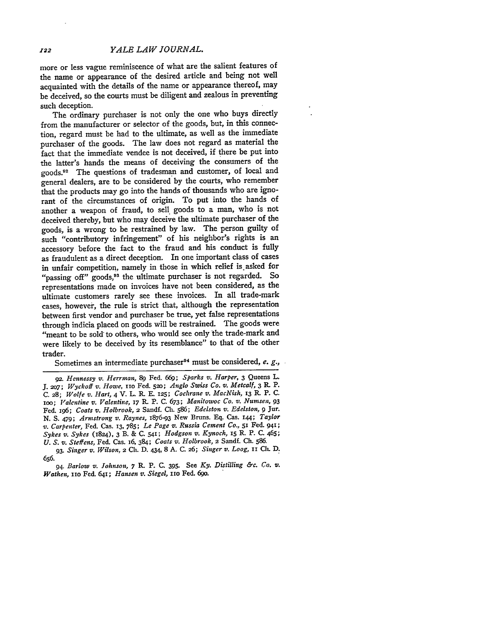*YALE LAW JOURNAL.*

more or less vague reminiscence of what are the salient features of the name or appearance of the desired article and being not well acquainted with the details of the name or appearance thereof, may be deceived, so the courts must be diligent and zealous in preventing such deception.

The ordinary purchaser is not only the one who buys directly from the manufacturer or selector of the goods, but, in this connection, regard must be had to the ultimate, as well as the immediate purchaser of the goods. The law does not regard as material the fact that the immediate vendee is not deceived, if there be put into the latter's hands the means of deceiving the consumers of the goods.<sup>92</sup> The questions of tradesman and customer, of local and general dealers, are to be considered by the courts, who remember that the products may go into the hands of thousands who are ignorant of the circumstances of origin. To put into the hands of another a weapon of fraud, to sell goods to a man, who is not deceived thereby, but who may deceive the ultimate purchaser of the goods, is a wrong to be restrained by law. The person guilty of such "contributory infringement" of his neighbor's rights is an accessory before the fact to the fraud and his conduct is fully as fraudulent as a direct deception. In one important class of cases in unfair competition, namely in those in which relief is asked for "passing off" goods,<sup>93</sup> the ultimate purchaser is not regarded. So representations made on invoices have not been considered, as the ultimate customers rarely see these invoices. In all trade-mark cases, however, the rule is strict that, although the representation between first vendor and purchaser be true, yet false representations through indicia placed on goods will be restrained. The goods were "meant to be sold to others, who would see only the trade-mark and were likely to be deceived by its resemblance" to that of the other trader.

Sometimes an intermediate purchaser<sup>94</sup> must be considered, e. g.,

**122** 

*<sup>92.</sup> Hennessy v. Herrinan, 89* Fed. 669; *Sparks v. Harper,* 3 Queens L. *J. 2o7; Wyckoff v. Howe,* iio Fed. **520;** *Anglo Swiss Co. vt. Metcalf, 3 R.* P. C. 28; *Wolfe v. Hart,* 4 V. L. R. E. 125; *Coclrane v. MacNish, 13* **K.** P. **C.** Ioo; *Valentine v. Valentine,* **17** R P. C. 673; *Manitowoc Co. v. Numsen, 93* Fed. i96; *Coats v. Holbrook,* 2 Sandf. Ch. 586; *Edelston v. Edelston, 9* Jur. **N.** S. 479; *Armstrong v. Raynes,* 1876-93 New Bruns. **Eq.** Cas. **i44;** *Taylor v. Carpenter,* Fed. Cas. 13, 785; *Le Page v. Russia Cement Co., 5i* Fed. **941;** *Sykes v. Sykes* (1824), 3 B. & C. **541;** *Hodgson v. Kynoch,* 15 R. P. **C.** 465; *U. S. v. Steffens,* Fed. Cas. 16, 384; *Coats v. Holbrook,* **2** Sandf. Ch. 586.

*<sup>93.</sup> Singer v. Wilson,* 2 **Ch.** D. 434, 8 **A.** C. **26;** *Singer v. Loog, ii* **C. D. 656.**

*<sup>94.</sup> Barlow v. Johnson, 7* R. P. C. 395. See *Ky. Distilling &c. Co. v. Wathen, 11o* Fed. 641; *Hansen v. Siegel,* **3io** Fed. 69o.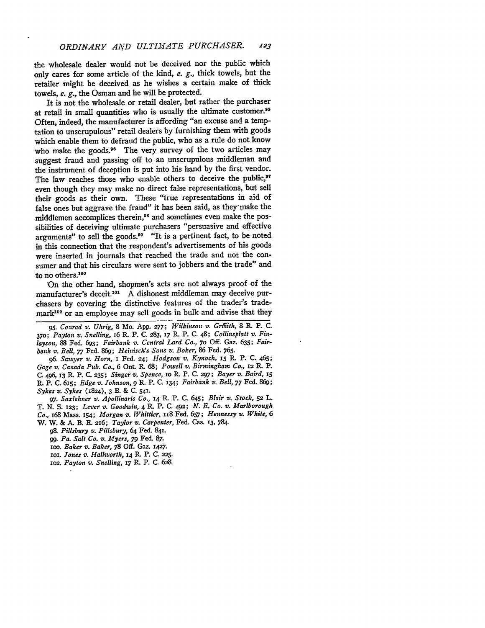the wholesale dealer would not be deceived nor the public which only cares for some article of the kind, e. *g.,* thick towels, but the retailer might be deceived as he wishes a certain make of thick towels, e. *g.,* the Osman and he will be protected.

It is not the wholesale or retail dealer, but rather the purchaser at retail in small quantities who is usually the ultimate customer.<sup>95</sup> Often, indeed, the manufacturer is affording "an excuse and a temptation to unscrupulous" retail dealers by furnishing them with goods which enable them to defraud the public, who as a rule do not know who make the goods.<sup>96</sup> The very survey of the two articles may suggest fraud and passing off to an unscrupulous middleman and the instrument of deception is put into his hand by the first vendor. The law reaches those who enable others to deceive the public,<sup>97</sup> even though they may make no direct false representations, but sell their goods as their own. These "true representations in aid of false ones but aggrave the fraud" it has been said, as they-make the middlemen accomplices therein,<sup>98</sup> and sometimes even make the possibilities of deceiving ultimate purchasers "persuasive and effective arguments" to sell the goods.<sup>99</sup> "It is a pertinent fact, to be noted in this connection that the respondent's advertisements of his goods were inserted in journals that reached the trade and not the consumer and that his circulars were sent to jobbers and the trade" and to no others.<sup>100</sup>

'On the other hand, shopmen's acts are not always proof of the manufacturer's deceit.<sup>101</sup> A dishonest middleman may deceive purchasers by covering the distinctive features of the trader's trade $mark<sup>102</sup>$  or an employee may sell goods in bulk and advise that they

*95. Conrad v. Uhrig,* 8 Mo. **App. 277;** *Wilkinson v. Grffiith,* 8 R. P. C. **370;** *Payton v. Snelling,* **z6 R.** P. C. **283, 17** R. P. **C.** 48; *Collinsplatt v. Finlayson,* **88** Fed. **693;** *Fairbank v. Central Lard Co., 7o* **Off.** Gaz. **635;** *Fairbank v. Bell, 77* Fed. **869;** *Heinisch's Sons v. Boker,* **86** Fed. **765.**

*96. Sawyer v. Horn,* **i** Fed. 24; *Hodgson v. Kynoch, i5* R. P. **C.** 465; *Gage v. Canada Pub. Co.,* **6** Ont. **R. 68;** *Powell v. Birmingham Co.,* **12** L P. **C.** 496, **13 K.** P. **C. 235;** *Singer v. Spence,* io R. P. *C.* **297;** *Bayer v. Baird, I5 L* P. **C.** 6r5; *Edge v. Johnson, 9* R. P. **C. 134;** *Fairbank v. Bell,* 77 Fed. **869;** *Sykes v. Sykes* (1824), 3 B. & C. **541.**

*97. Saxlehner v. Apollinaris Co.,* 14 R. P. **C.** 645; *Blair v. Stock,* **52** L. T. **N.** S. 123; *Lever v. Goodwin,* 4 **L** P. **C.** 492; *N. E. Co.* **v.** *Marlborough Co.,* 168 Mass. 154; *Morgan v. Whittier,* xi8 Fed. 657; *Hennessy v. White, 6* W. W. & A. B. **E.** 216; *Taylor v. Carpenter,* Fed. Cas. **13, 784.**

*98. Pillsbury v. Pillsbury,* 64 Fed. 841.

*99. Pa. Salt Co. v. Myers,* 79 Fed. **87.**

ioo. *Baker v. Baker, 78* **Off.** Gaz. **1427.**

**1i.** *Jones v. Hallworth,* **14 R.** P. **C. 225.**

*102. Payton v. Snelling,* **17** R. P. **C. 628.**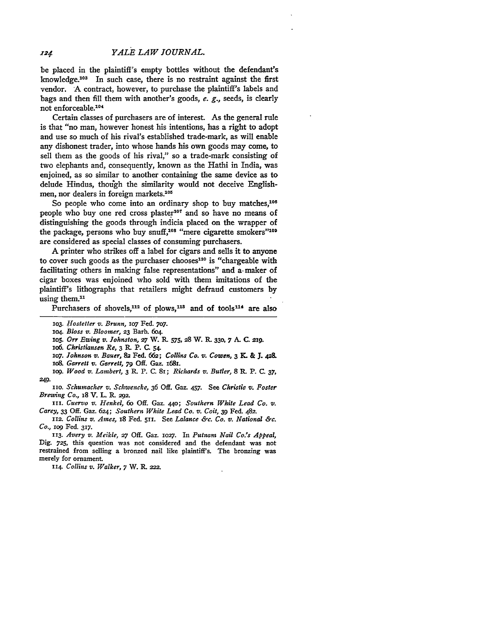be placed in the plaintiff's empty bottles without the defendant's knowledge.<sup>103</sup> In such case, there is no restraint against the first vendor. **A** contract, however, to purchase the plaintiff's labels and bags and then **fill** them with another's goods, *e. g.,* seeds, is clearly not enforceable.<sup>104</sup>

Certain classes of purchasers are of interest. As the general rule is that "no man, however honest his intentions, has a right to adopt and use so much of his rival's established trade-mark, as will enable any dishonest trader, into whose hands his own goods may come, to sell them as the goods of his rival," so a trade-mark consisting of two elephants and, consequently, known as the Hathi in India, was enjoined, as so similar to another containing the same device as to delude Hindus, though the similarity would not deceive Englishmen, nor dealers in foreign markets.<sup>105</sup>

So people who come into an ordinary shop to buy matches,<sup>106</sup> people who buy one red cross plaster<sup>107</sup> and so have no means of distinguishing the goods through indicia placed on the wrapper of the package, persons who buy snuff,<sup>108</sup> "mere cigarette smokers"<sup>109</sup> are considered as special classes of consuming purchasers.

A printer who strikes off a label for cigars and sells it to anyone to cover such goods as the purchaser chooses $110$  is "chargeable with facilitating others in making false representations" and a- maker of cigar boxes was enjoined who sold with them imitations of the plaintiff's lithographs that retailers might defraud customers by using them.<sup>11</sup>

Purchasers of shovels,<sup>112</sup> of plows,<sup>113</sup> and of tools<sup>114</sup> are also

*io6. Christiansen Re, 3 R.* P. *C.* 54.

*2O7. Johnson v. Bauer,* **82** Fed. **662;** *Collins Co. v. Cowen, 3 KL* & **J.** 42&

*io8. Garrett v. Garrett, 79* **Off.** Gaz. **1681.**

*log. Wood v. Lambert, 3 R. P. C. 81; Richards v. Butler, 8 R. P. C. 37,* **249.**

*iio. Schumacher v. Schwencke, 36* **Off.** Gaz. 457. See *Christie v. Foster Brewing Co.,* **18** V. L. R. **292.**

*iii. Cuervo v. Henkel, 6o* **Off.** Gaz. **44o;** *Southern White Lead Co. v. Carey, 33* **Off.** Gaz. *624; Southern White Lead Co. v. Coit,* **39** Fed. 482.

*112. Collins v. Ames,* 18 Fed. 511. See *Lalance &c. Co. v. National &c. Co., log* Fed. **317.**

*113. Avery v. Meikle, 27* **Off.** Gaz. **io27.** In *Putnam Nail Co.'s Appeal,* Dig. **725,** this question was not considered and the defendant was not restrained from selling a bronzed nail like plaintiff's. The bronzing was merely for ornament.

*114. Collins v. Walker, 7* W. P. *222.*

**<sup>2</sup>o3.** *Hostetter v. Brunn, 2O7* Fed. **707.**

*<sup>2</sup>O4. Bloss v. Bloomer,* **23** Barb. **6o4.**

*io5. Orr Ewing v. Johnston,* **27** W. R- **575, 28** W. **R. 330, 7 A. C. 2 9.**